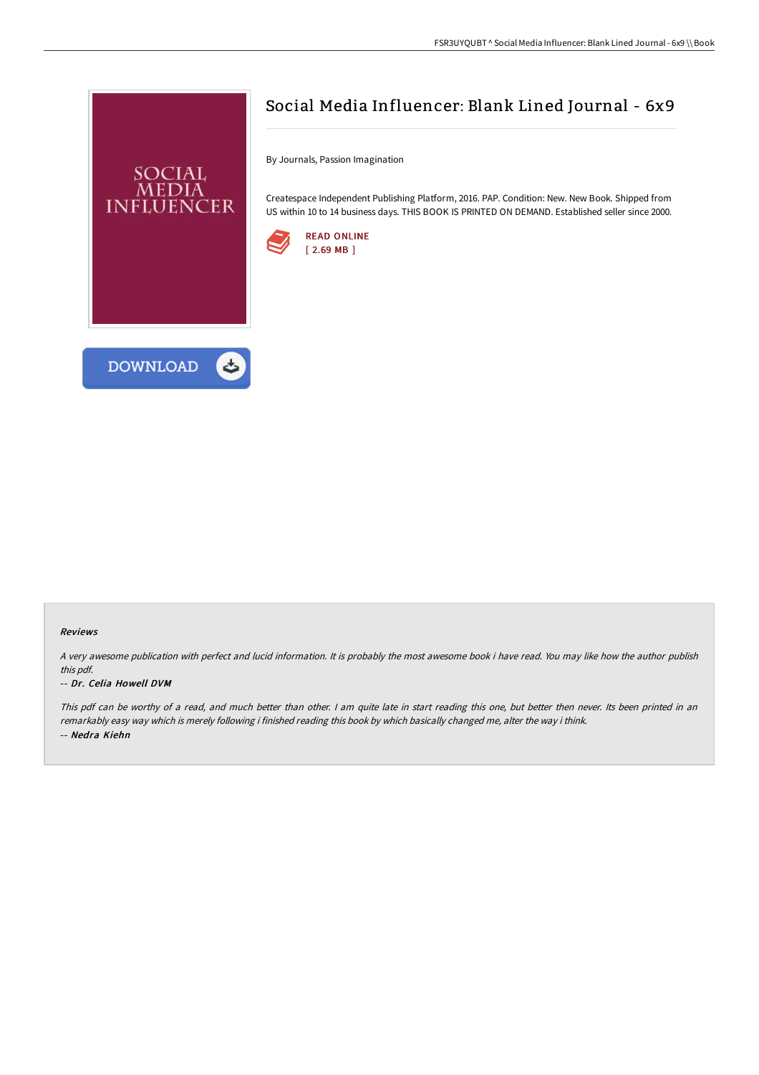

**DOWNLOAD** 



By Journals, Passion Imagination

Createspace Independent Publishing Platform, 2016. PAP. Condition: New. New Book. Shipped from US within 10 to 14 business days. THIS BOOK IS PRINTED ON DEMAND. Established seller since 2000.





A very awesome publication with perfect and lucid information. It is probably the most awesome book i have read. You may like how the author publish this pdf.

## -- Dr. Celia Howell DVM

This pdf can be worthy of <sup>a</sup> read, and much better than other. <sup>I</sup> am quite late in start reading this one, but better then never. Its been printed in an remarkably easy way which is merely following i finished reading this book by which basically changed me, alter the way i think. -- Nedra Kiehn